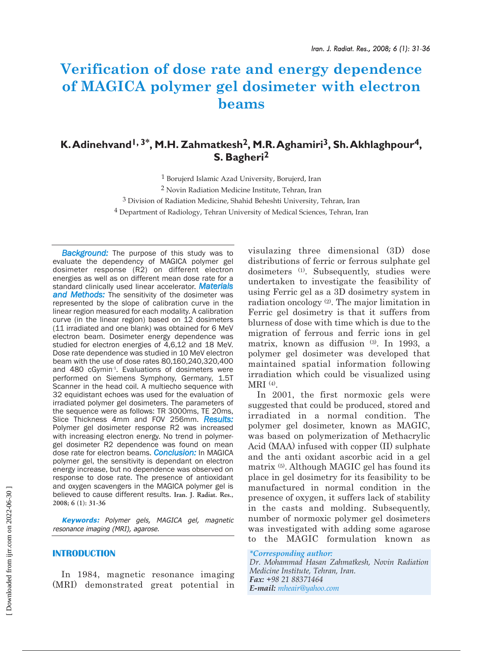# **Verification of dose rate and energy dependence of MAGICA polymer gel dosimeter with electron beams**

## **K.Adinehvand1, 3\*, M.H. Zahmatkesh2, M.R.Aghamiri3, Sh.Akhlaghpour4, S. Bagheri2**

 Borujerd Islamic Azad University, Borujerd, Iran Novin Radiation Medicine Institute, Tehran, Iran Division of Radiation Medicine, Shahid Beheshti University, Tehran, Iran Department of Radiology, Tehran University of Medical Sciences, Tehran, Iran

**Background:** The purpose of this study was to evaluate the dependency of MAGICA polymer gel dosimeter response (R2) on different electron energies as well as on different mean dose rate for a standard clinically used linear accelerator. *Materials and Methods:* The sensitivity of the dosimeter was represented by the slope of calibration curve in the linear region measured for each modality. A calibration curve (in the linear region) based on 12 dosimeters (11 irradiated and one blank) was obtained for 6 MeV electron beam. Dosimeter energy dependence was studied for electron energies of 4,6,12 and 18 MeV. Dose rate dependence was studied in 10 MeV electron beam with the use of dose rates 80,160,240,320,400 and 480 cGymin<sup>-1</sup>. Evaluations of dosimeters were performed on Siemens Symphony, Germany, 1.5T Scanner in the head coil. A multiecho sequence with 32 equidistant echoes was used for the evaluation of irradiated polymer gel dosimeters. The parameters of the sequence were as follows: TR 3000ms, TE 20ms, Slice Thickness 4mm and FOV 256mm. *Results:* Polymer gel dosimeter response R2 was increased with increasing electron energy. No trend in polymergel dosimeter R2 dependence was found on mean dose rate for electron beams. *Conclusion:* In MAGICA polymer gel, the sensitivity is dependant on electron energy increase, but no dependence was observed on response to dose rate. The presence of antioxidant and oxygen scavengers in the MAGICA polymer gel is believed to cause different results. **Iran. J. Radiat. Res., 2008; 6 (1): 31-36**

**Keywords:** Polymer gels, MAGICA gel, magnetic resonance imaging (MRI), agarose.

#### **INTRODUCTION**

In 1984, magnetic resonance imaging (MRI) demonstrated great potential in visulazing three dimensional (3D) dose distributions of ferric or ferrous sulphate gel dosimeters (1). Subsequently, studies were undertaken to investigate the feasibility of using Ferric gel as a 3D dosimetry system in radiation oncology (2). The major limitation in Ferric gel dosimetry is that it suffers from blurness of dose with time which is due to the migration of ferrous and ferric ions in gel matrix, known as diffusion (3). In 1993, a polymer gel dosimeter was developed that maintained spatial information following irradiation which could be visualized using MRI (4).

In 2001, the first normoxic gels were suggested that could be produced, stored and irradiated in a normal condition. The polymer gel dosimeter, known as MAGIC, was based on polymerization of Methacrylic Acid (MAA) infused with copper (II) sulphate and the anti oxidant ascorbic acid in a gel matrix (5). Although MAGIC gel has found its place in gel dosimetry for its feasibility to be manufactured in normal condition in the presence of oxygen, it suffers lack of stability in the casts and molding. Subsequently, number of normoxic polymer gel dosimeters was investigated with adding some agarose to the MAGIC formulation known as

#### *\*Corresponding author:*

*Dr. Mohammad Hasan Zahmatkesh, Novin Radiation Medicine Institute, Tehran, Iran. Fax: +98 21 88371464 E-mail: mheair@yahoo.com*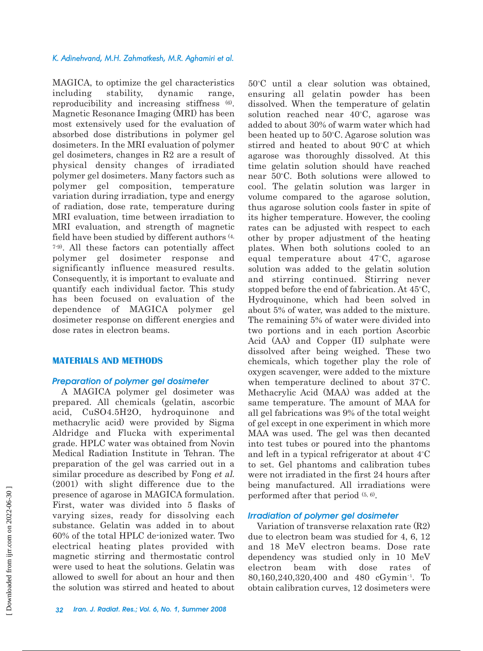#### *K. Adinehvand, M.H. Zahmatkesh, M.R. Aghamiri et al.*

MAGICA, to optimize the gel characteristics including stability, dynamic range, reproducibility and increasing stiffness (6). Magnetic Resonance Imaging (MRI) has been most extensively used for the evaluation of absorbed dose distributions in polymer gel dosimeters. In the MRI evaluation of polymer gel dosimeters, changes in R2 are a result of physical density changes of irradiated polymer gel dosimeters. Many factors such as polymer gel composition, temperature variation during irradiation, type and energy of radiation, dose rate, temperature during MRI evaluation, time between irradiation to MRI evaluation, and strength of magnetic field have been studied by different authors (4, 7-9). All these factors can potentially affect polymer gel dosimeter response and significantly influence measured results. Consequently, it is important to evaluate and quantify each individual factor. This study has been focused on evaluation of the dependence of MAGICA polymer gel dosimeter response on different energies and dose rates in electron beams.

#### **MATERIALS AND METHODS**

#### *Preparation of polymer gel dosimeter*

A MAGICA polymer gel dosimeter was prepared. All chemicals (gelatin, ascorbic acid, CuSO4.5H2O, hydroquinone and methacrylic acid) were provided by Sigma Aldridge and Flucka with experimental grade. HPLC water was obtained from Novin Medical Radiation Institute in Tehran. The preparation of the gel was carried out in a similar procedure as described by Fong et al. (2001) with slight difference due to the presence of agarose in MAGICA formulation. First, water was divided into 5 flasks of varying sizes, ready for dissolving each substance. Gelatin was added in to about 60% of the total HPLC de-ionized water. Two electrical heating plates provided with magnetic stirring and thermostatic control were used to heat the solutions. Gelatin was allowed to swell for about an hour and then the solution was stirred and heated to about

50°C until a clear solution was obtained, ensuring all gelatin powder has been dissolved. When the temperature of gelatin solution reached near  $40^{\circ}$ C, agarose was added to about 30% of warm water which had been heated up to 50°C. Agarose solution was stirred and heated to about 90°C at which agarose was thoroughly dissolved. At this time gelatin solution should have reached near 50°C. Both solutions were allowed to cool. The gelatin solution was larger in volume compared to the agarose solution, thus agarose solution cools faster in spite of its higher temperature. However, the cooling rates can be adjusted with respect to each other by proper adjustment of the heating plates. When both solutions cooled to an equal temperature about  $47^{\circ}$ C, agarose solution was added to the gelatin solution and stirring continued. Stirring never stopped before the end of fabrication. At  $45^{\circ}$ C, Hydroquinone, which had been solved in about 5% of water, was added to the mixture. The remaining 5% of water were divided into two portions and in each portion Ascorbic Acid (AA) and Copper (II) sulphate were dissolved after being weighed. These two chemicals, which together play the role of oxygen scavenger, were added to the mixture when temperature declined to about  $37^{\circ}$ C. Methacrylic Acid (MAA) was added at the same temperature. The amount of MAA for all gel fabrications was 9% of the total weight of gel except in one experiment in which more MAA was used. The gel was then decanted into test tubes or poured into the phantoms and left in a typical refrigerator at about  $4^{\circ}$ C to set. Gel phantoms and calibration tubes were not irradiated in the first 24 hours after being manufactured. All irradiations were performed after that period (5, 6).

#### *Irradiation of polymer gel dosimeter*

Variation of transverse relaxation rate (R2) due to electron beam was studied for 4, 6, 12 and 18 MeV electron beams. Dose rate dependency was studied only in 10 MeV electron beam with dose rates of 80,160,240,320,400 and 480 cGymin-1 . To obtain calibration curves, 12 dosimeters were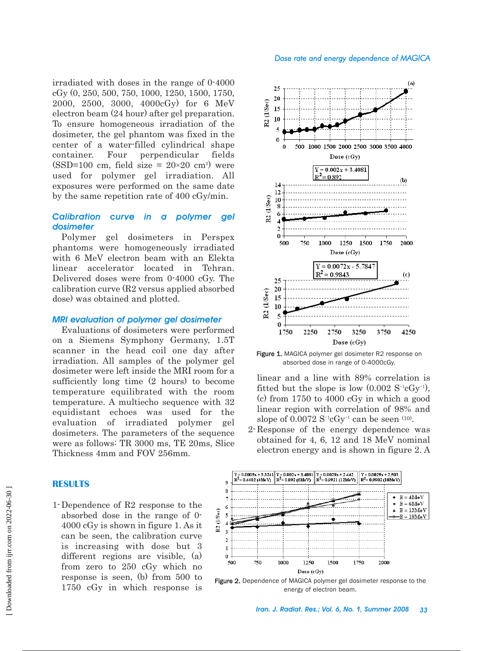#### *Dose rate and energy dependence of MAGICA*

irradiated with doses in the range of 0-4000 cGy (0, 250, 500, 750, 1000, 1250, 1500, 1750, 2000, 2500, 3000, 4000cGy) for 6 MeV electron beam (24 hour) after gel preparation. To ensure homogeneous irradiation of the dosimeter, the gel phantom was fixed in the center of a water-filled cylindrical shape container. Four perpendicular fields  $(SSD=100 \text{ cm}, \text{ field size} = 20 \times 20 \text{ cm}^2)$  were used for polymer gel irradiation. All exposures were performed on the same date by the same repetition rate of 400 cGy/min.

## *Calibration curve in a polymer gel dosimeter*

Polymer gel dosimeters in Perspex phantoms were homogeneously irradiated with 6 MeV electron beam with an Elekta linear accelerator located in Tehran. Delivered doses were from 0-4000 cGy. The calibration curve (R2 versus applied absorbed dose) was obtained and plotted.

#### *MRI evaluation of polymer gel dosimeter*

Evaluations of dosimeters were performed on a Siemens Symphony Germany, 1.5T scanner in the head coil one day after irradiation. All samples of the polymer gel dosimeter were left inside the MRI room for a sufficiently long time (2 hours) to become temperature equilibrated with the room temperature. A multiecho sequence with 32 equidistant echoes was used for the evaluation of irradiated polymer gel dosimeters. The parameters of the sequence were as follows: TR 3000 ms, TE 20ms, Slice Thickness 4mm and FOV 256mm.

#### $(a)$  $25$ 20 R2 (L/Sec) 15 10  $\overline{\phantom{a}}$  $\Omega$ 500 1000 1500 2000 2500 3000 3500 4000  $\Omega$ Dose  $(cGy)$  $Y = 0.002x + 3.4081$  $= 0.892$  $(b)$ 14  $12$ R2 (L/Sec) 10  $\mathcal{I}$ n 500 750 1000 1250 1500 1750 2000 Dose  $(cGy)$  $Y = 0.0072x - 5.784$  $R^2$  = 0.9843 (c)  $25$  $20$ R2 (L/Sec) 15 10 5 Û 1750 2250 2750 3250 3750 4250

Figure 1. MAGICA polymer gel dosimeter R2 response on absorbed dose in range of 0-4000cGy.

Dose  $(cGy)$ 

linear and a line with 89% correlation is fitted but the slope is low  $(0.002 \text{ S}^{-1} \text{cGy}^{-1}),$ (c) from 1750 to 4000 cGy in which a good linear region with correlation of 98% and slope of  $0.0072 S^{-1}cGy^{-1}$  can be seen  $(10)$ .

2- Response of the energy dependence was obtained for 4, 6, 12 and 18 MeV nominal electron energy and is shown in figure 2. A



#### Figure 2. Dependence of MAGICA polymer gel dosimeter response to the energy of electron beam.

### **RESULTS**

1- Dependence of R2 response to the absorbed dose in the range of 0- 4000 cGy is shown in figure 1. As it can be seen, the calibration curve is increasing with dose but 3 different regions are visible, (a) from zero to 250 cGy which no response is seen, (b) from 500 to 1750 cGy in which response is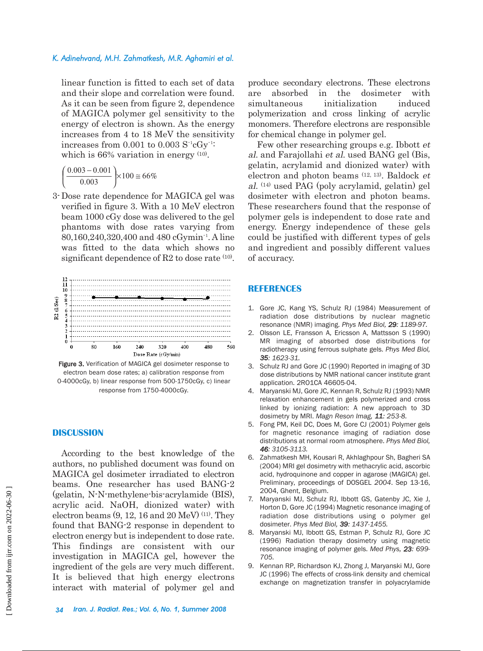#### *K. Adinehvand, M.H. Zahmatkesh, M.R. Aghamiri et al.*

linear function is fitted to each set of data and their slope and correlation were found. As it can be seen from figure 2, dependence of MAGICA polymer gel sensitivity to the energy of electron is shown. As the energy increases from 4 to 18 MeV the sensitivity increases from  $0.001$  to  $0.003$   $S^{-1}cGy^{-1}$ : which is 66% variation in energy  $(10)$ .

$$
\left(\frac{0.003 - 0.001}{0.003}\right) \times 100 \approx 66\%
$$

3- Dose rate dependence for MAGICA gel was verified in figure 3. With a 10 MeV electron beam 1000 cGy dose was delivered to the gel phantoms with dose rates varying from 80,160,240,320,400 and 480 cGymin-1 . A line was fitted to the data which shows no significant dependence of R2 to dose rate  $(10)$ .



Figure 3. Verification of MAGICA gel dosimeter response to electron beam dose rates; a) calibration response from 0-4000cGy, b) linear response from 500-1750cGy, c) linear response from 1750-4000cGy.

#### **DISCUSSION**

According to the best knowledge of the authors, no published document was found on MAGICA gel dosimeter irradiated to electron beams. One researcher has used BANG-2 (gelatin, N-N-methylene-bis-acrylamide (BIS), acrylic acid. NaOH, dionized water) with electron beams  $(9, 12, 16$  and  $20 \text{ MeV})$  (11). They found that BANG-2 response in dependent to electron energy but is independent to dose rate. This findings are consistent with our investigation in MAGICA gel, however the ingredient of the gels are very much different. It is believed that high energy electrons interact with material of polymer gel and

produce secondary electrons. These electrons are absorbed in the dosimeter with simultaneous initialization induced polymerization and cross linking of acrylic monomers. Therefore electrons are responsible for chemical change in polymer gel.

Few other researching groups e.g. Ibbott et al. and Farajollahi et al. used BANG gel (Bis, gelatin, acrylamid and dionized water) with electron and photon beams (12, 13). Baldock et al. (14) used PAG (poly acrylamid, gelatin) gel dosimeter with electron and photon beams. These researchers found that the response of polymer gels is independent to dose rate and energy. Energy independence of these gels could be justified with different types of gels and ingredient and possibly different values of accuracy.

#### **REFERENCES**

- 1. Gore JC, Kang YS, Schulz RJ (1984) Measurement of radiation dose distributions by nuclear magnetic resonance (NMR) imaging. *Phys Med Biol, 29: 1189-97.*
- 2. Olsson LE, Fransson A, Ericsson A, Mattsson S (1990) MR imaging of absorbed dose distributions for radiotherapy using ferrous sulphate gels. *Phys Med Biol, 35: 1623-31.*
- 3. Schulz RJ and Gore JC (1990) Reported in imaging of 3D dose distributions by NMR national cancer institute grant application. 2RO1CA 46605-04.
- 4. Maryanski MJ, Gore JC, Kennan R, Schulz RJ (1993) NMR relaxation enhancement in gels polymerized and cross linked by ionizing radiation: A new approach to 3D dosimetry by MRI. *Magn Reson Imag, 11: 253-8.*
- 5. Fong PM, Keil DC, Does M, Gore CJ (2001) Polymer gels for magnetic resonance imaging of radiation dose distributions at normal room atmosphere. *Phys Med Biol, 46: 3105-3113.*
- 6. Zahmatkesh MH, Kousari R, Akhlaghpour Sh, Bagheri SA (2004) MRI gel dosimetry with methacrylic acid, ascorbic acid, hydroquinone and copper in agarose (MAGICA) gel. Preliminary, proceedings of DOSGEL *2004*. Sep 13-16, 2004, Ghent, Belgium.
- 7. Maryanski MJ, Schulz RJ, Ibbott GS, Gatenby JC, Xie J, Horton D, Gore JC (1994) Magnetic resonance imaging of radiation dose distributions using o polymer gel dosimeter. *Phys Med Biol, 39: 1437-1455.*
- 8. Maryanski MJ, Ibbott GS, Estman P, Schulz RJ, Gore JC (1996) Radiation therapy dosimetry using magnetic resonance imaging of polymer gels. *Med Phys, 23: 699- 705.*
- 9. Kennan RP, Richardson KJ, Zhong J, Maryanski MJ, Gore JC (1996) The effects of cross-link density and chemical exchange on magnetization transfer in polyacrylamide